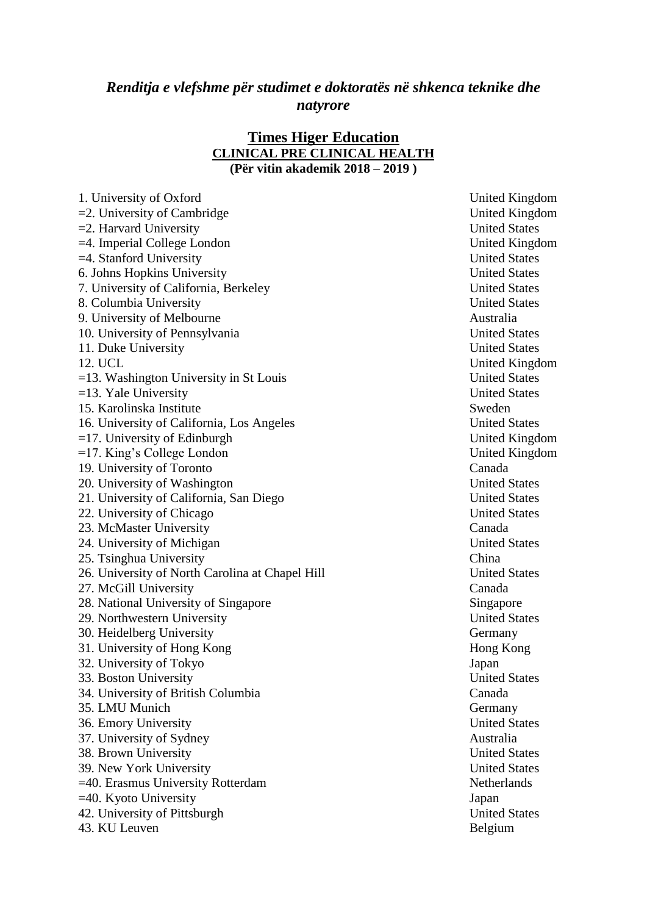## *Renditja e vlefshme për studimet e doktoratës në shkenca teknike dhe natyrore*

#### **Times Higer Education CLINICAL PRE CLINICAL HEALTH (Për vitin akademik 2018 – 2019 )**

| 1. University of Oxford                         | United K  |
|-------------------------------------------------|-----------|
| $=$ 2. University of Cambridge                  | United K  |
| $=$ 2. Harvard University                       | United S  |
| $=4$ . Imperial College London                  | United K  |
| $=4$ . Stanford University                      | United S  |
| 6. Johns Hopkins University                     | United S  |
| 7. University of California, Berkeley           | United S  |
| 8. Columbia University                          | United S  |
| 9. University of Melbourne                      | Australia |
| 10. University of Pennsylvania                  | United S  |
| 11. Duke University                             | United S  |
| 12. UCL                                         | United K  |
| $=$ 13. Washington University in St Louis       | United S  |
| $=13.$ Yale University                          | United S  |
| 15. Karolinska Institute                        | Sweden    |
| 16. University of California, Los Angeles       | United S  |
| $=$ 17. University of Edinburgh                 | United K  |
| $=17$ . King's College London                   | United K  |
| 19. University of Toronto                       | Canada    |
| 20. University of Washington                    | United S  |
| 21. University of California, San Diego         | United S  |
| 22. University of Chicago                       | United S  |
| 23. McMaster University                         | Canada    |
| 24. University of Michigan                      | United S  |
| 25. Tsinghua University                         | China     |
| 26. University of North Carolina at Chapel Hill | United S  |
| 27. McGill University                           | Canada    |
| 28. National University of Singapore            | Singapor  |
| 29. Northwestern University                     | United S  |
| 30. Heidelberg University                       | Germany   |
| 31. University of Hong Kong                     | Hong Ko   |
| 32. University of Tokyo                         | Japan     |
| 33. Boston University                           | United S  |
| 34. University of British Columbia              | Canada    |
| 35. LMU Munich                                  | Germany   |
| 36. Emory University                            | United S  |
| 37. University of Sydney                        | Australia |
| 38. Brown University                            | United S  |
| 39. New York University                         | United S  |
| =40. Erasmus University Rotterdam               | Netherlar |
| $=40.$ Kyoto University                         | Japan     |
| 42. University of Pittsburgh                    | United S  |
| 43. KU Leuven                                   | Belgium   |

United Kingdom United Kingdom United States United Kingdom United States **United States United States United States United States United States** United Kingdom United States United States United States United Kingdom United Kingdom **United States United States United States United States** 26. United States Singapore United States Germany Hong Kong **United States** Germany **United States United States United States** Netherlands United States Belgium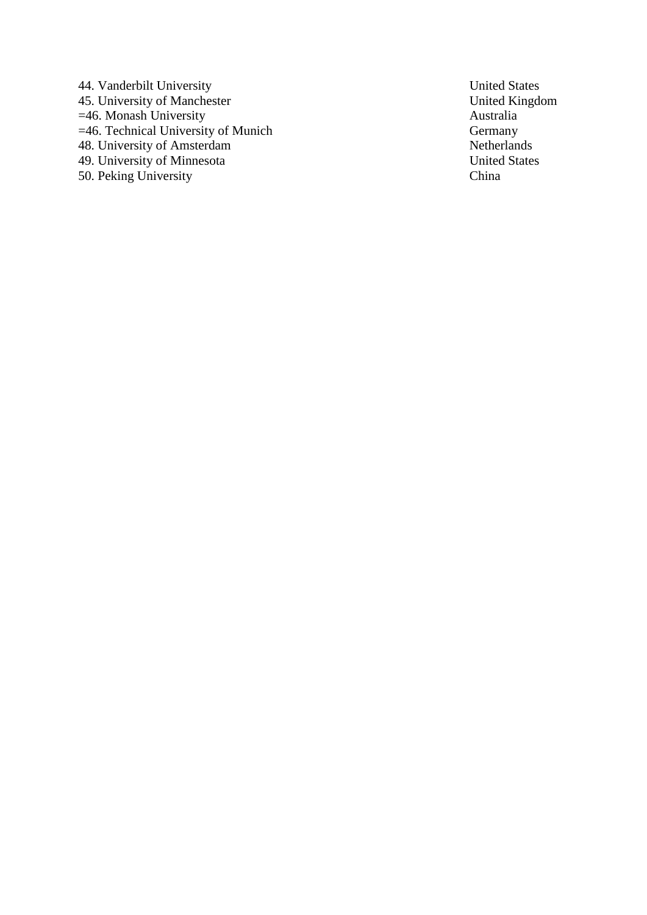44. Vanderbilt University<br>
45. University of Manchester<br>
45. United Kingdom 45. University of Manchester<br>
=46. Monash University<br>
Australia =46. Monash University<br>=46. Technical University of Munich Cermany  $=46$ . Technical University of Munich 48. University of Amsterdam Netherlands 49. University of Minnesota United States 50. Peking University China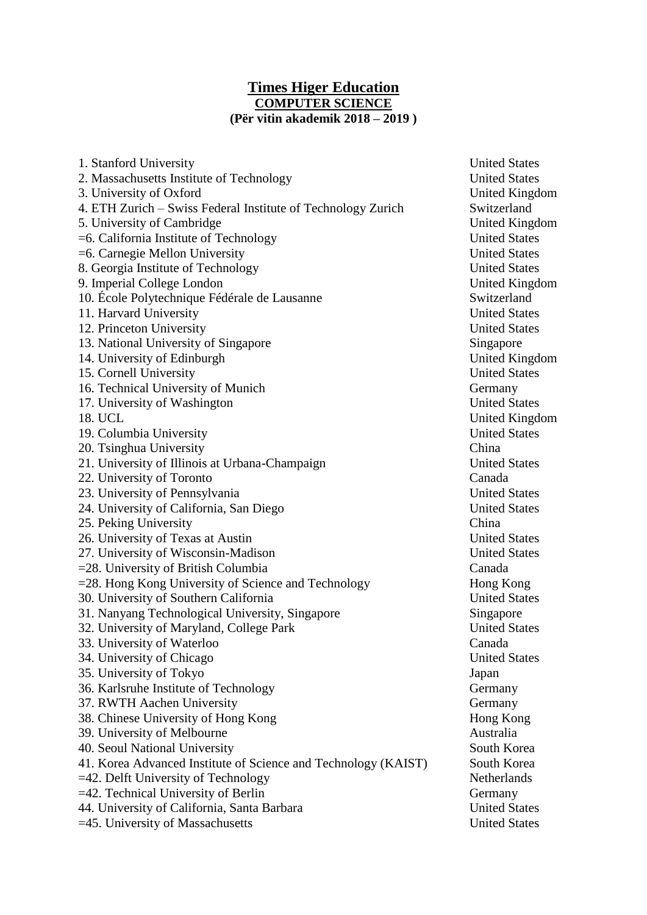### **Times Higer Education COMPUTER SCIENCE (Për vitin akademik 2018 – 2019 )**

| 1. Stanford University                                         | United S              |
|----------------------------------------------------------------|-----------------------|
| 2. Massachusetts Institute of Technology                       | United S              |
| 3. University of Oxford                                        | United K              |
| 4. ETH Zurich - Swiss Federal Institute of Technology Zurich   | Switzerla             |
| 5. University of Cambridge                                     | United K              |
| $=6$ . California Institute of Technology                      | United S              |
| $=6$ . Carnegie Mellon University                              | United S              |
| 8. Georgia Institute of Technology                             | United S              |
| 9. Imperial College London                                     | United K              |
| 10. École Polytechnique Fédérale de Lausanne                   | Switzerla             |
| 11. Harvard University                                         | United S <sup>-</sup> |
| 12. Princeton University                                       | United S              |
| 13. National University of Singapore                           | Singapor              |
| 14. University of Edinburgh                                    | United K              |
| 15. Cornell University                                         | United S              |
| 16. Technical University of Munich                             | Germany               |
| 17. University of Washington                                   | United S              |
| 18. UCL                                                        | United K              |
| 19. Columbia University                                        | United S              |
| 20. Tsinghua University                                        | China                 |
| 21. University of Illinois at Urbana-Champaign                 | United S              |
| 22. University of Toronto                                      | Canada                |
| 23. University of Pennsylvania                                 | United S              |
| 24. University of California, San Diego                        | United S              |
| 25. Peking University                                          | China                 |
| 26. University of Texas at Austin                              | United S              |
| 27. University of Wisconsin-Madison                            | United S              |
| $=$ 28. University of British Columbia                         | Canada                |
| $=$ 28. Hong Kong University of Science and Technology         | Hong Ko               |
| 30. University of Southern California                          | United S              |
| 31. Nanyang Technological University, Singapore                | Singapor              |
| 32. University of Maryland, College Park                       | United S              |
| 33. University of Waterloo                                     | Canada                |
| 34. University of Chicago                                      | United S              |
| 35. University of Tokyo                                        | Japan                 |
| 36. Karlsruhe Institute of Technology                          | Germany               |
| 37. RWTH Aachen University                                     | Germany               |
| 38. Chinese University of Hong Kong                            | Hong Ko               |
| 39. University of Melbourne                                    | Australia             |
| 40. Seoul National University                                  | South Ko              |
| 41. Korea Advanced Institute of Science and Technology (KAIST) | South Ko              |
| $=42$ . Delft University of Technology                         | Netherlar             |
| =42. Technical University of Berlin                            | Germany               |
| 44. University of California, Santa Barbara                    | United S              |
| =45. University of Massachusetts                               | United S              |

**United States United States** United Kingdom Switzerland United Kingdom United States United States **United States** United Kingdom Switzerland **United States United States** Singapore United Kingdom **United States** Germany **United States** United Kingdom United States<br>China United States United States United States United States **United States** Hong Kong United States Singapore United States **United States** Germany Germany Hong Kong South Korea South Korea Netherlands Germany United States United States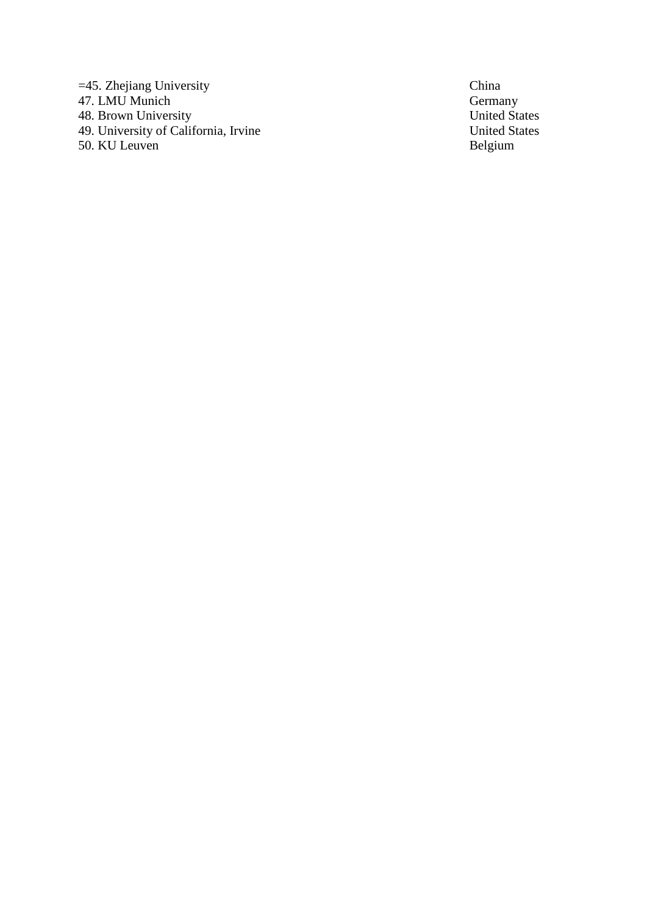=45. Zhejiang University<br>
47. LMU Munich<br>
48. Brown University<br>
5. China<br>
5. China<br>
5. China<br>
5. China<br>
5. China<br>
5. China<br>
5. China<br>
5. China<br>
5. China<br>
5. China<br>
5. China<br>
5. China<br>
5. China<br>
5. China<br>
5. China<br>
5. China 47. LMU Munich 48. Brown University<br>
49. United States<br>
49. University of California, Irvine<br>
49. United States 49. University of California, Irvine United States and United States United States United States United States United States United States United States United States United States United States United States United States 50. KU Leuven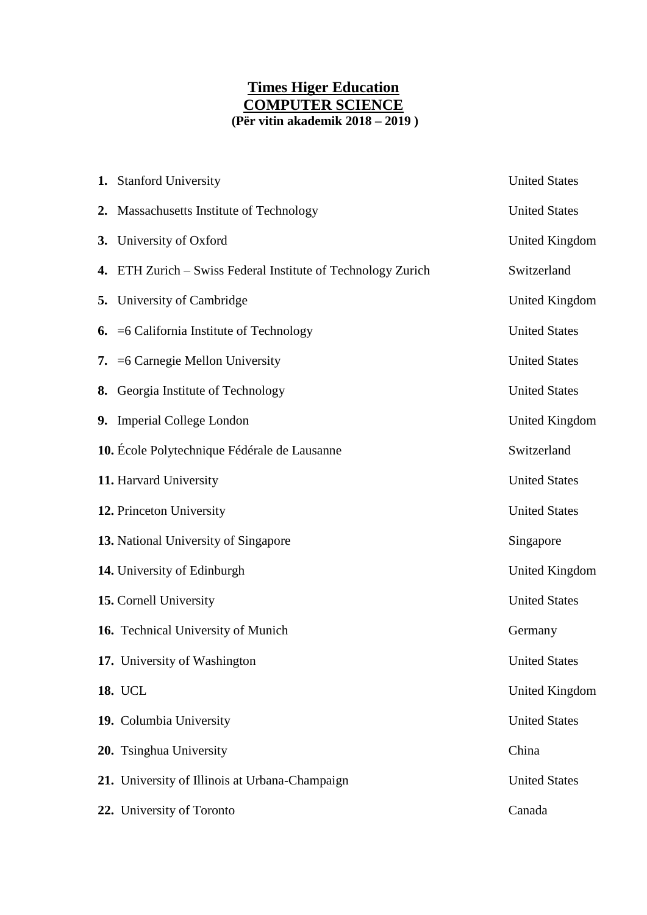# **Times Higer Education COMPUTER SCIENCE (Për vitin akademik 2018 – 2019 )**

| 1. Stanford University                                       | <b>United States</b>  |
|--------------------------------------------------------------|-----------------------|
| 2. Massachusetts Institute of Technology                     | <b>United States</b>  |
| 3. University of Oxford                                      | <b>United Kingdom</b> |
| 4. ETH Zurich – Swiss Federal Institute of Technology Zurich | Switzerland           |
| <b>5.</b> University of Cambridge                            | <b>United Kingdom</b> |
| <b>6.</b> $=6$ California Institute of Technology            | <b>United States</b>  |
| 7. = 6 Carnegie Mellon University                            | <b>United States</b>  |
| 8. Georgia Institute of Technology                           | <b>United States</b>  |
| 9. Imperial College London                                   | <b>United Kingdom</b> |
| 10. École Polytechnique Fédérale de Lausanne                 | Switzerland           |
| 11. Harvard University                                       | <b>United States</b>  |
| 12. Princeton University                                     | <b>United States</b>  |
| 13. National University of Singapore                         | Singapore             |
| 14. University of Edinburgh                                  | <b>United Kingdom</b> |
| 15. Cornell University                                       | <b>United States</b>  |
| 16. Technical University of Munich                           | Germany               |
| 17. University of Washington                                 | <b>United States</b>  |
| 18. UCL                                                      | <b>United Kingdom</b> |
| 19. Columbia University                                      | <b>United States</b>  |
| 20. Tsinghua University                                      | China                 |
| 21. University of Illinois at Urbana-Champaign               | <b>United States</b>  |
| 22. University of Toronto                                    | Canada                |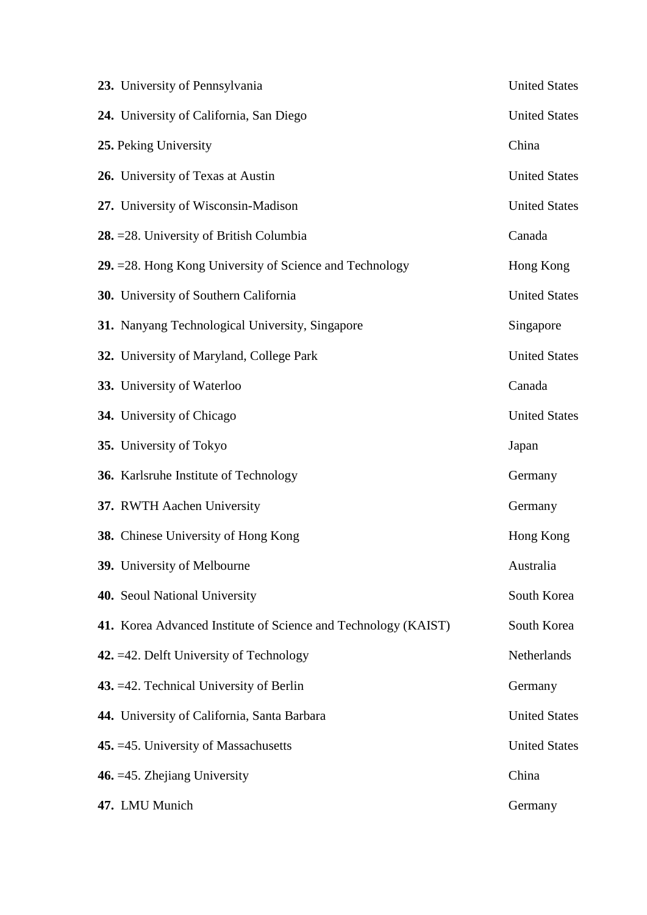| 23. University of Pennsylvania                                 | <b>United States</b> |
|----------------------------------------------------------------|----------------------|
| 24. University of California, San Diego                        | <b>United States</b> |
| 25. Peking University                                          | China                |
| 26. University of Texas at Austin                              | <b>United States</b> |
| 27. University of Wisconsin-Madison                            | <b>United States</b> |
| 28. = 28. University of British Columbia                       | Canada               |
| 29. = 28. Hong Kong University of Science and Technology       | Hong Kong            |
| 30. University of Southern California                          | <b>United States</b> |
| 31. Nanyang Technological University, Singapore                | Singapore            |
| 32. University of Maryland, College Park                       | <b>United States</b> |
| 33. University of Waterloo                                     | Canada               |
| 34. University of Chicago                                      | <b>United States</b> |
| 35. University of Tokyo                                        | Japan                |
| 36. Karlsruhe Institute of Technology                          | Germany              |
| 37. RWTH Aachen University                                     | Germany              |
| <b>38.</b> Chinese University of Hong Kong                     | Hong Kong            |
| 39. University of Melbourne                                    | Australia            |
| 40. Seoul National University                                  | South Korea          |
| 41. Korea Advanced Institute of Science and Technology (KAIST) | South Korea          |
| 42. $=42$ . Delft University of Technology                     | Netherlands          |
| 43. = 42. Technical University of Berlin                       | Germany              |
| 44. University of California, Santa Barbara                    | <b>United States</b> |
| 45. = 45. University of Massachusetts                          | <b>United States</b> |
| 46. $=45$ . Zhejiang University                                | China                |
| 47. LMU Munich                                                 | Germany              |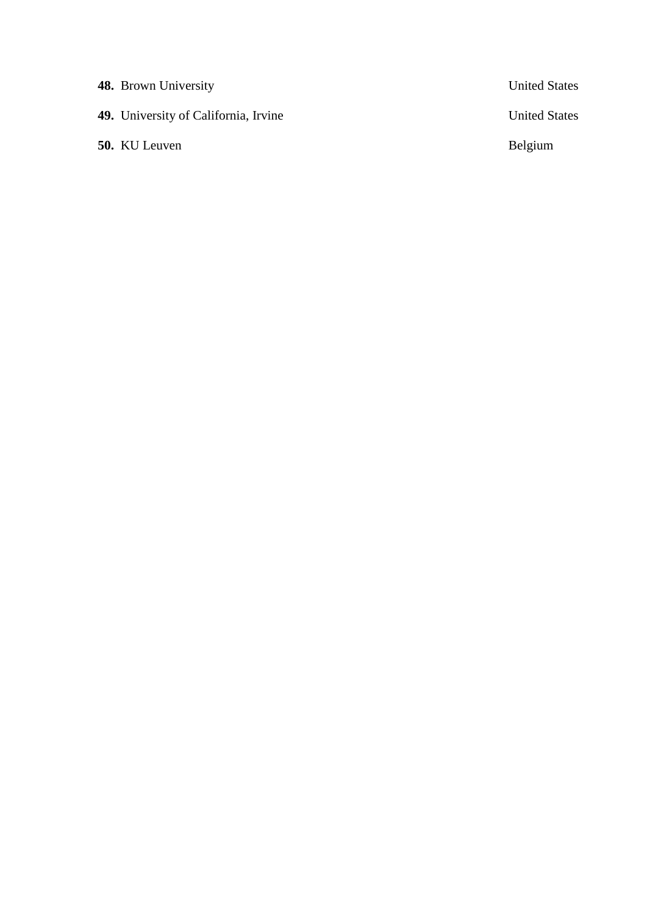| <b>48.</b> Brown University                 | <b>United States</b> |
|---------------------------------------------|----------------------|
| <b>49.</b> University of California, Irvine | <b>United States</b> |
| <b>50.</b> KU Leuven                        | Belgium              |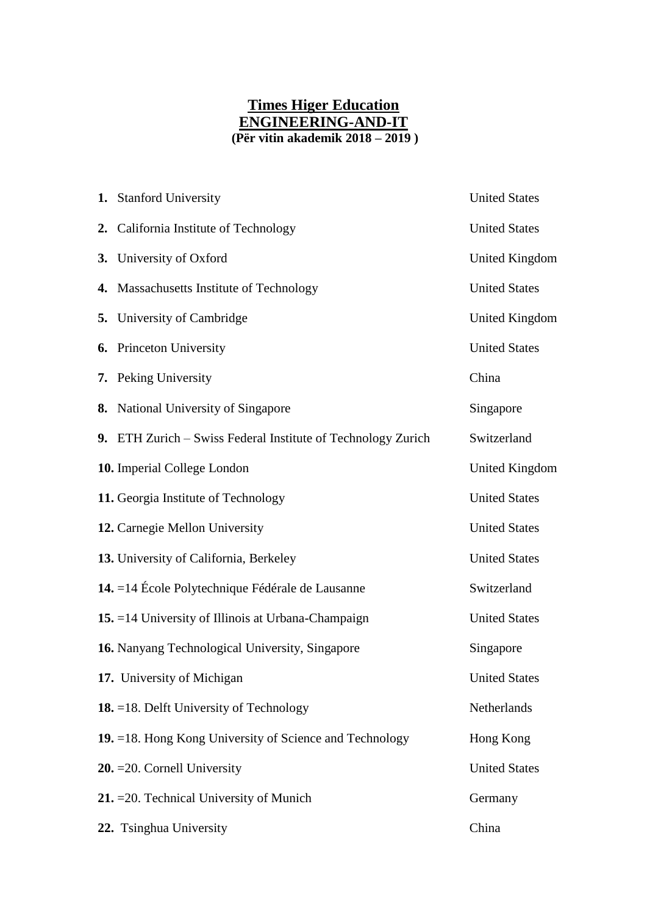# **Times Higer Education ENGINEERING-AND-IT (Për vitin akademik 2018 – 2019 )**

| 1. Stanford University                                         | <b>United States</b>  |
|----------------------------------------------------------------|-----------------------|
| 2. California Institute of Technology                          | <b>United States</b>  |
| 3. University of Oxford                                        | <b>United Kingdom</b> |
| 4. Massachusetts Institute of Technology                       | <b>United States</b>  |
| 5. University of Cambridge                                     | <b>United Kingdom</b> |
| 6. Princeton University                                        | <b>United States</b>  |
| 7. Peking University                                           | China                 |
| 8. National University of Singapore                            | Singapore             |
| 9. ETH Zurich – Swiss Federal Institute of Technology Zurich   | Switzerland           |
| 10. Imperial College London                                    | <b>United Kingdom</b> |
| 11. Georgia Institute of Technology                            | <b>United States</b>  |
| 12. Carnegie Mellon University                                 | <b>United States</b>  |
| 13. University of California, Berkeley                         | <b>United States</b>  |
| 14. $=$ 14 École Polytechnique Fédérale de Lausanne            | Switzerland           |
| 15. = 14 University of Illinois at Urbana-Champaign            | <b>United States</b>  |
| 16. Nanyang Technological University, Singapore                | Singapore             |
| 17. University of Michigan                                     | <b>United States</b>  |
| <b>18.</b> $=$ 18. Delft University of Technology              | Netherlands           |
| <b>19.</b> =18. Hong Kong University of Science and Technology | Hong Kong             |
| $20. = 20$ . Cornell University                                | <b>United States</b>  |
| 21. = 20. Technical University of Munich                       | Germany               |
| 22. Tsinghua University                                        | China                 |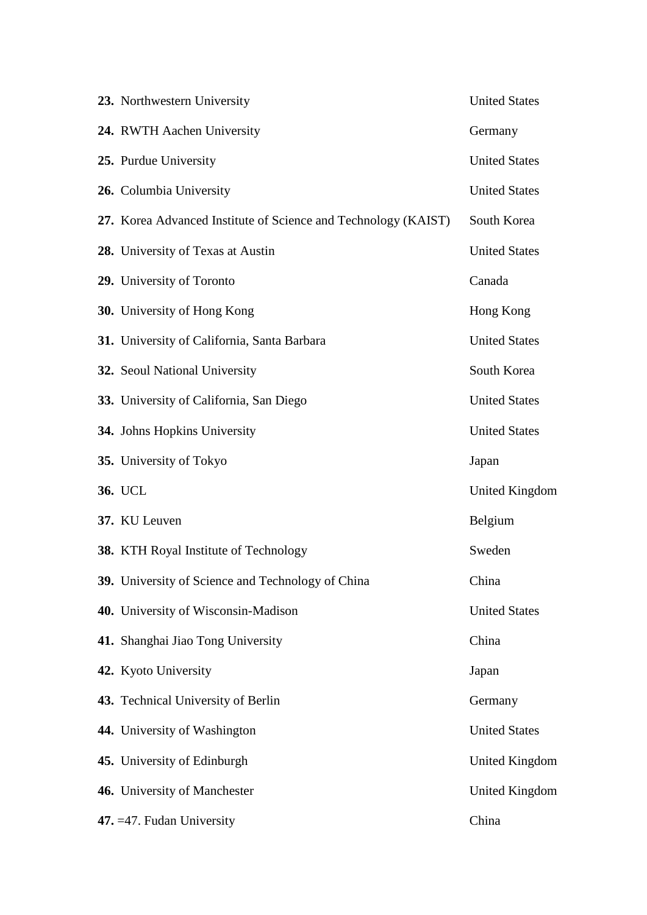| 23. Northwestern University                                    | <b>United States</b> |
|----------------------------------------------------------------|----------------------|
| 24. RWTH Aachen University                                     | Germany              |
| 25. Purdue University                                          | <b>United States</b> |
| 26. Columbia University                                        | <b>United States</b> |
| 27. Korea Advanced Institute of Science and Technology (KAIST) | South Korea          |
| 28. University of Texas at Austin                              | <b>United States</b> |
| 29. University of Toronto                                      | Canada               |
| <b>30.</b> University of Hong Kong                             | Hong Kong            |
| 31. University of California, Santa Barbara                    | <b>United States</b> |
| 32. Seoul National University                                  | South Korea          |
| 33. University of California, San Diego                        | <b>United States</b> |
| 34. Johns Hopkins University                                   | <b>United States</b> |
| 35. University of Tokyo                                        | Japan                |
| 36. UCL                                                        | United Kingdom       |
| 37. KU Leuven                                                  | Belgium              |
| 38. KTH Royal Institute of Technology                          | Sweden               |
| 39. University of Science and Technology of China              | China                |
| 40. University of Wisconsin-Madison                            | <b>United States</b> |
| 41. Shanghai Jiao Tong University                              | China                |
| 42. Kyoto University                                           | Japan                |
| 43. Technical University of Berlin                             | Germany              |
| 44. University of Washington                                   | <b>United States</b> |
| 45. University of Edinburgh                                    | United Kingdom       |
| 46. University of Manchester                                   | United Kingdom       |
| 47. $=47$ . Fudan University                                   | China                |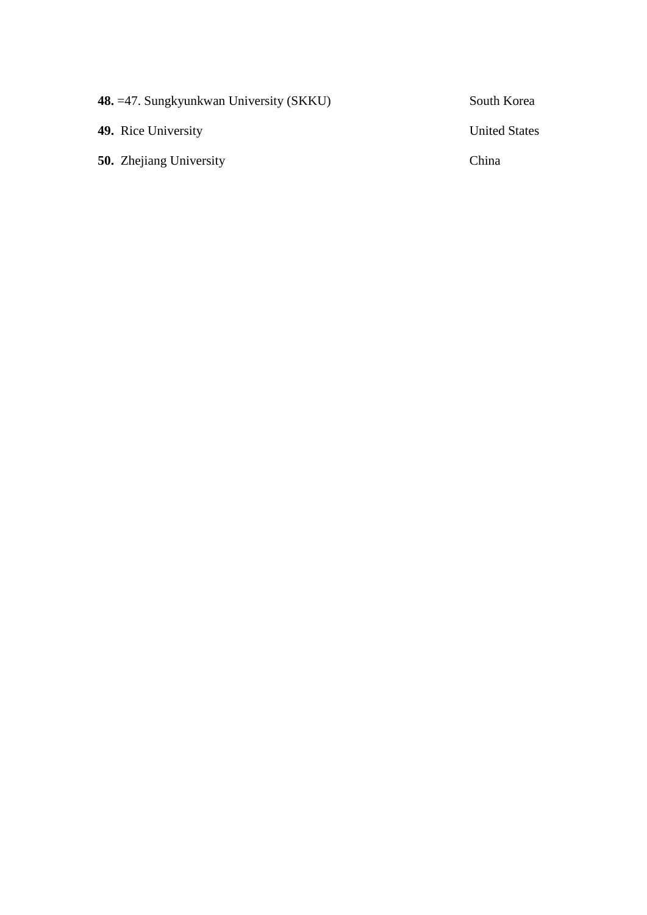| 48. = 47. Sungkyunkwan University (SKKU) | South Korea          |
|------------------------------------------|----------------------|
| <b>49.</b> Rice University               | <b>United States</b> |
| <b>50.</b> Zhejiang University           | China                |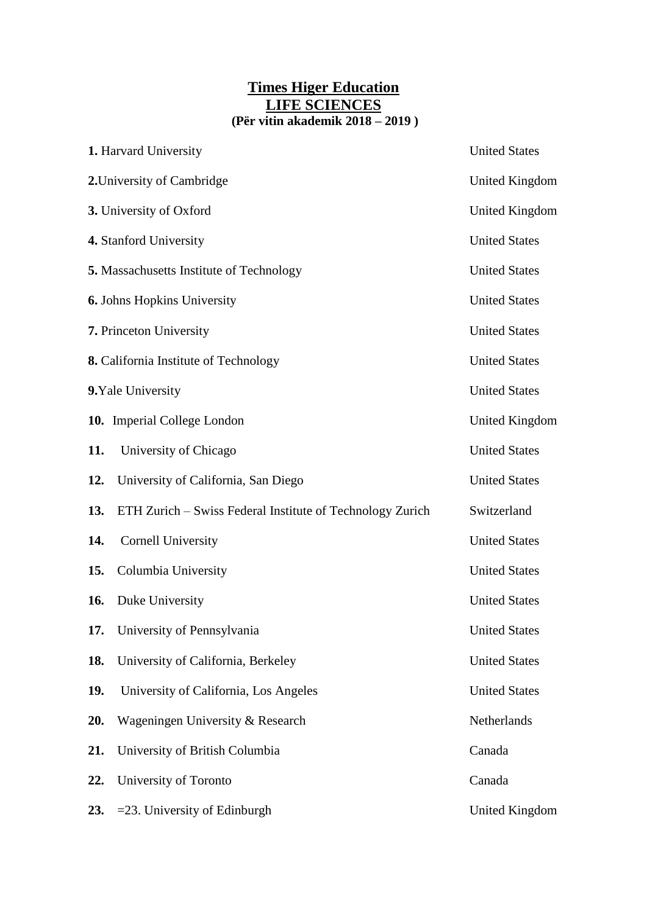# **Times Higer Education LIFE SCIENCES (Për vitin akademik 2018 – 2019 )**

|            | 1. Harvard University                                     | <b>United States</b>  |
|------------|-----------------------------------------------------------|-----------------------|
|            | 2. University of Cambridge                                | United Kingdom        |
|            | 3. University of Oxford                                   | <b>United Kingdom</b> |
|            | 4. Stanford University                                    | <b>United States</b>  |
|            | 5. Massachusetts Institute of Technology                  | <b>United States</b>  |
|            | <b>6.</b> Johns Hopkins University                        | <b>United States</b>  |
|            | 7. Princeton University                                   | <b>United States</b>  |
|            | 8. California Institute of Technology                     | <b>United States</b>  |
|            | 9. Yale University                                        | <b>United States</b>  |
|            | 10. Imperial College London                               | United Kingdom        |
| 11.        | University of Chicago                                     | <b>United States</b>  |
| 12.        | University of California, San Diego                       | <b>United States</b>  |
| 13.        | ETH Zurich - Swiss Federal Institute of Technology Zurich | Switzerland           |
| 14.        | <b>Cornell University</b>                                 | <b>United States</b>  |
| 15.        | Columbia University                                       | <b>United States</b>  |
| <b>16.</b> | Duke University                                           | <b>United States</b>  |
|            | 17. University of Pennsylvania                            | <b>United States</b>  |
| 18.        | University of California, Berkeley                        | <b>United States</b>  |
| 19.        | University of California, Los Angeles                     | <b>United States</b>  |
| 20.        | Wageningen University & Research                          | Netherlands           |
| 21.        | University of British Columbia                            | Canada                |
| 22.        | University of Toronto                                     | Canada                |
| 23.        | =23. University of Edinburgh                              | <b>United Kingdom</b> |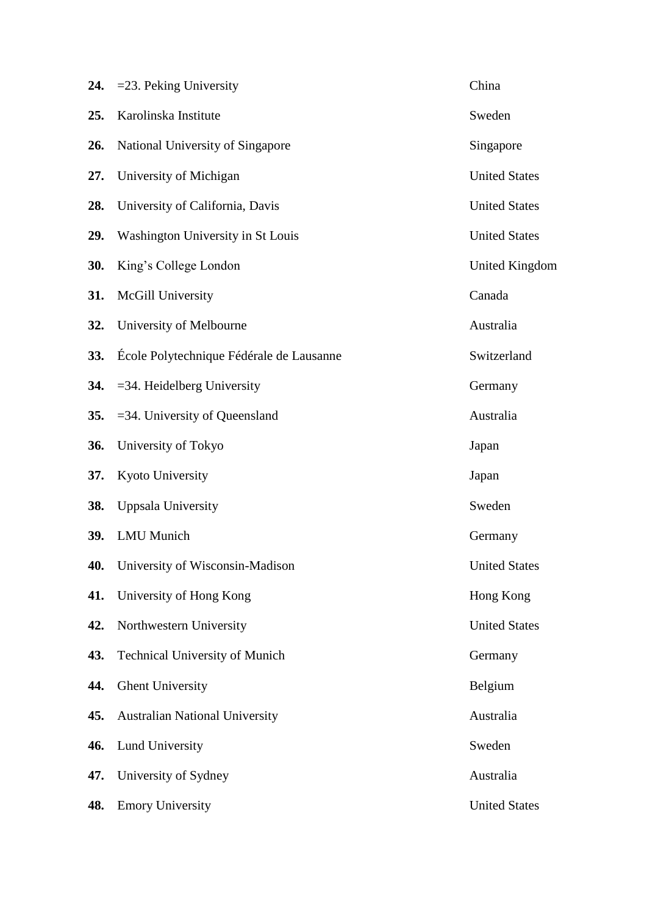|            | 24. $=$ 23. Peking University            | China                |
|------------|------------------------------------------|----------------------|
| 25.        | Karolinska Institute                     | Sweden               |
| 26.        | National University of Singapore         | Singapore            |
| 27.        | University of Michigan                   | <b>United States</b> |
| 28.        | University of California, Davis          | <b>United States</b> |
| 29.        | Washington University in St Louis        | <b>United States</b> |
| 30.        | King's College London                    | United Kingdom       |
| 31.        | McGill University                        | Canada               |
| 32.        | University of Melbourne                  | Australia            |
| 33.        | École Polytechnique Fédérale de Lausanne | Switzerland          |
|            | 34. $=$ 34. Heidelberg University        | Germany              |
| <b>35.</b> | $=$ 34. University of Queensland         | Australia            |
| 36.        | University of Tokyo                      | Japan                |
| 37.        | Kyoto University                         | Japan                |
| 38.        | Uppsala University                       | Sweden               |
| 39.        | <b>LMU</b> Munich                        | Germany              |
| 40.        | University of Wisconsin-Madison          | <b>United States</b> |
| 41.        | University of Hong Kong                  | Hong Kong            |
| 42.        | Northwestern University                  | <b>United States</b> |
| 43.        | <b>Technical University of Munich</b>    | Germany              |
| 44.        | <b>Ghent University</b>                  | Belgium              |
| 45.        | <b>Australian National University</b>    | Australia            |
| 46.        | <b>Lund University</b>                   | Sweden               |
| 47.        | University of Sydney                     | Australia            |
| 48.        | <b>Emory University</b>                  | <b>United States</b> |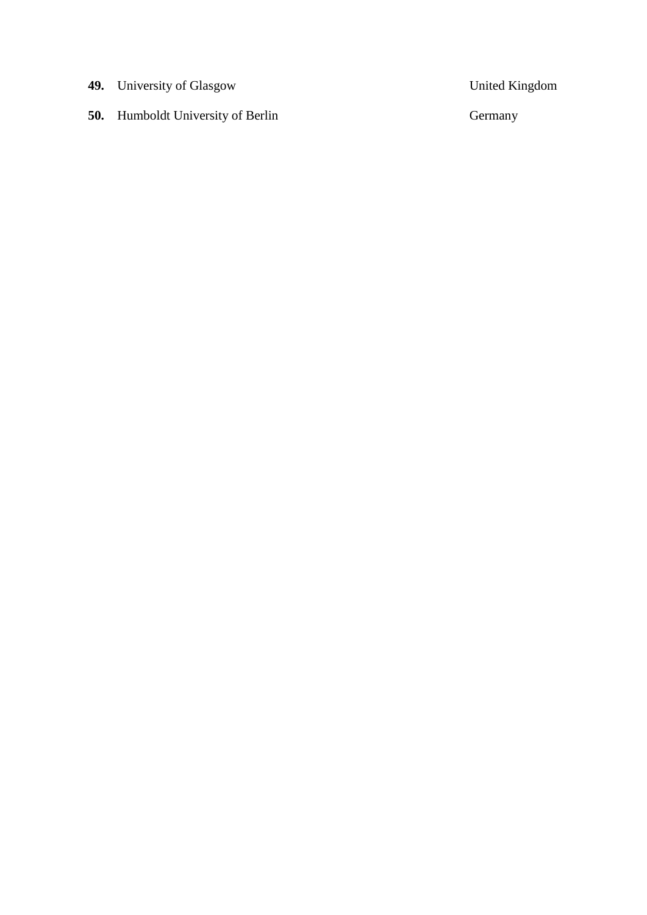**49.** University of Glasgow United Kingdom

**50.** Humboldt University of Berlin Germany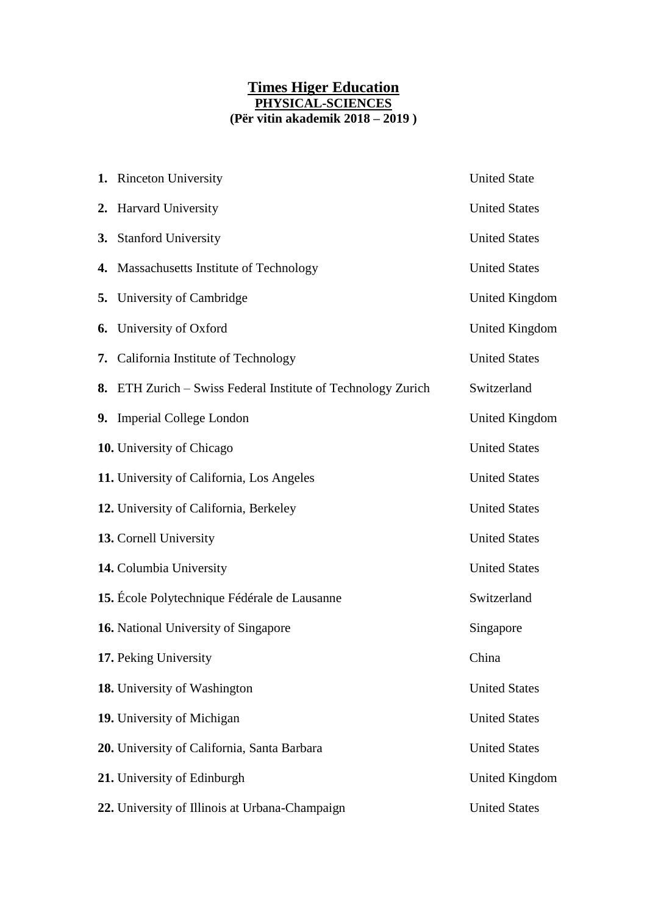### **Times Higer Education PHYSICAL-SCIENCES (Për vitin akademik 2018 – 2019 )**

| 1. Rinceton University                                       | <b>United State</b>  |
|--------------------------------------------------------------|----------------------|
| 2. Harvard University                                        | <b>United States</b> |
| 3. Stanford University                                       | <b>United States</b> |
| 4. Massachusetts Institute of Technology                     | <b>United States</b> |
| <b>5.</b> University of Cambridge                            | United Kingdom       |
| <b>6.</b> University of Oxford                               | United Kingdom       |
| 7. California Institute of Technology                        | <b>United States</b> |
| 8. ETH Zurich – Swiss Federal Institute of Technology Zurich | Switzerland          |
| 9. Imperial College London                                   | United Kingdom       |
| 10. University of Chicago                                    | <b>United States</b> |
| 11. University of California, Los Angeles                    | <b>United States</b> |
| 12. University of California, Berkeley                       | <b>United States</b> |
| 13. Cornell University                                       | <b>United States</b> |
| 14. Columbia University                                      | <b>United States</b> |
| 15. École Polytechnique Fédérale de Lausanne                 | Switzerland          |
| 16. National University of Singapore                         | Singapore            |
| 17. Peking University                                        | China                |
| 18. University of Washington                                 | <b>United States</b> |
| 19. University of Michigan                                   | <b>United States</b> |
| 20. University of California, Santa Barbara                  | <b>United States</b> |
| 21. University of Edinburgh                                  | United Kingdom       |
| 22. University of Illinois at Urbana-Champaign               | <b>United States</b> |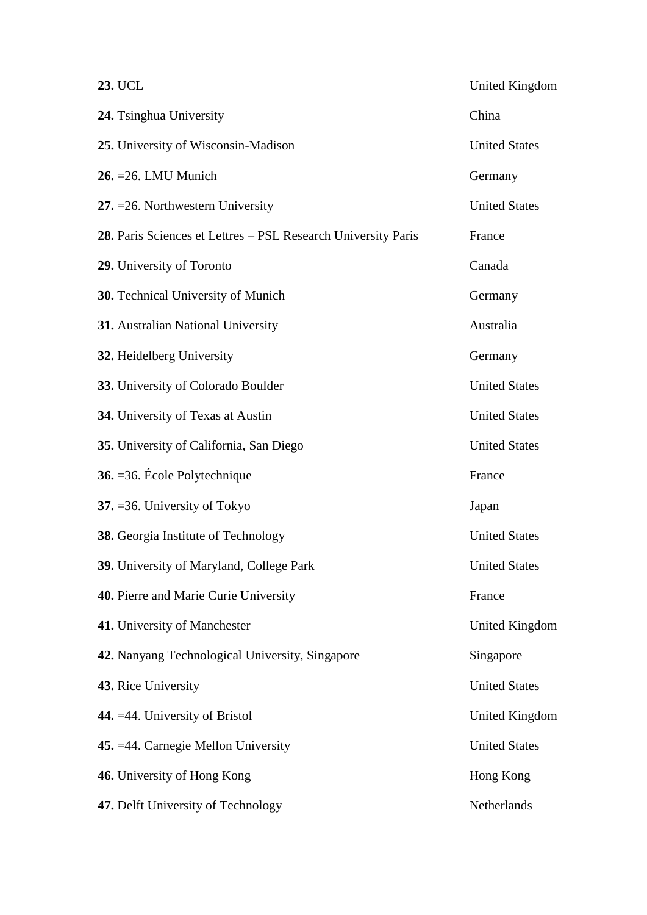| 23. UCL                                                       | United Kingdom       |
|---------------------------------------------------------------|----------------------|
| 24. Tsinghua University                                       | China                |
| 25. University of Wisconsin-Madison                           | <b>United States</b> |
| $26. = 26.$ LMU Munich                                        | Germany              |
| 27. $=$ 26. Northwestern University                           | <b>United States</b> |
| 28. Paris Sciences et Lettres - PSL Research University Paris | France               |
| 29. University of Toronto                                     | Canada               |
| 30. Technical University of Munich                            | Germany              |
| 31. Australian National University                            | Australia            |
| 32. Heidelberg University                                     | Germany              |
| 33. University of Colorado Boulder                            | <b>United States</b> |
| 34. University of Texas at Austin                             | <b>United States</b> |
| 35. University of California, San Diego                       | <b>United States</b> |
| 36. = 36. École Polytechnique                                 | France               |
| 37. $=$ 36. University of Tokyo                               | Japan                |
| 38. Georgia Institute of Technology                           | <b>United States</b> |
| 39. University of Maryland, College Park                      | <b>United States</b> |
| 40. Pierre and Marie Curie University                         | France               |
| 41. University of Manchester                                  | United Kingdom       |
| 42. Nanyang Technological University, Singapore               | Singapore            |
| 43. Rice University                                           | <b>United States</b> |
| 44. = 44. University of Bristol                               | United Kingdom       |
| 45. = 44. Carnegie Mellon University                          | <b>United States</b> |
| 46. University of Hong Kong                                   | Hong Kong            |
| 47. Delft University of Technology                            | Netherlands          |